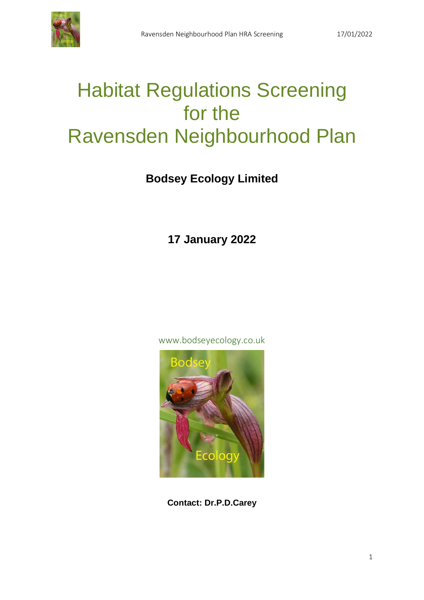# Habitat Regulations Screening for the Ravensden Neighbourhood Plan

## **Bodsey Ecology Limited**

**17 January 2022**

www.bodseyecology.co.uk



**Contact: Dr.P.D.Carey**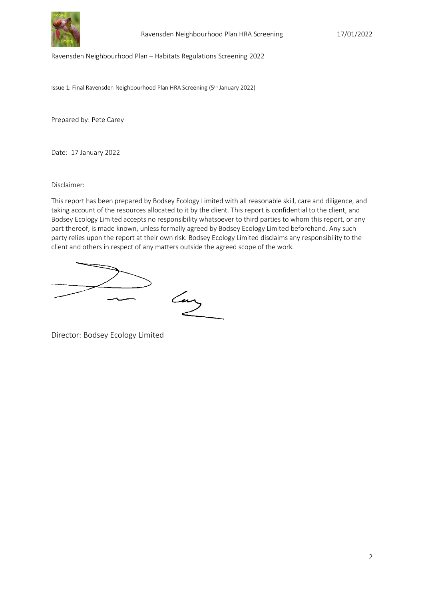

Ravensden Neighbourhood Plan – Habitats Regulations Screening 2022

Issue 1: Final Ravensden Neighbourhood Plan HRA Screening (5<sup>th</sup> January 2022)

Prepared by: Pete Carey

Date: 17 January 2022

Disclaimer:

This report has been prepared by Bodsey Ecology Limited with all reasonable skill, care and diligence, and taking account of the resources allocated to it by the client. This report is confidential to the client, and Bodsey Ecology Limited accepts no responsibility whatsoever to third parties to whom this report, or any part thereof, is made known, unless formally agreed by Bodsey Ecology Limited beforehand. Any such party relies upon the report at their own risk. Bodsey Ecology Limited disclaims any responsibility to the client and others in respect of any matters outside the agreed scope of the work.

Lay

Director: Bodsey Ecology Limited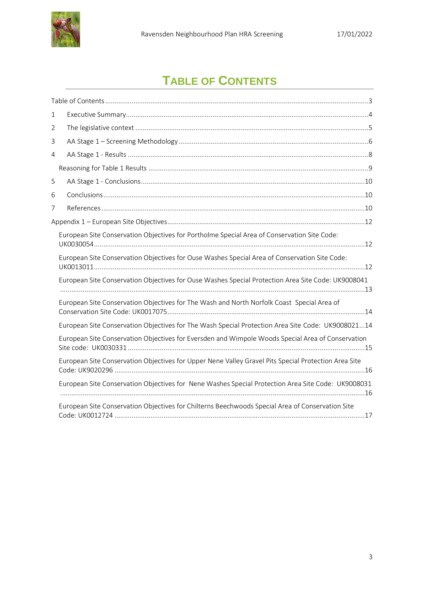

## **TABLE OF CONTENTS**

<span id="page-2-0"></span>

| $\mathbf 1$    |                                                                                                      |
|----------------|------------------------------------------------------------------------------------------------------|
| $\overline{2}$ |                                                                                                      |
| 3              |                                                                                                      |
| 4              |                                                                                                      |
|                |                                                                                                      |
| 5              |                                                                                                      |
| 6              |                                                                                                      |
| 7              |                                                                                                      |
|                |                                                                                                      |
|                | European Site Conservation Objectives for Portholme Special Area of Conservation Site Code:          |
|                | European Site Conservation Objectives for Ouse Washes Special Area of Conservation Site Code:        |
|                | European Site Conservation Objectives for Ouse Washes Special Protection Area Site Code: UK9008041   |
|                | European Site Conservation Objectives for The Wash and North Norfolk Coast Special Area of           |
|                | European Site Conservation Objectives for The Wash Special Protection Area Site Code: UK900802114    |
|                | European Site Conservation Objectives for Eversden and Wimpole Woods Special Area of Conservation    |
|                | European Site Conservation Objectives for Upper Nene Valley Gravel Pits Special Protection Area Site |
|                | European Site Conservation Objectives for Nene Washes Special Protection Area Site Code: UK9008031   |
|                | European Site Conservation Objectives for Chilterns Beechwoods Special Area of Conservation Site     |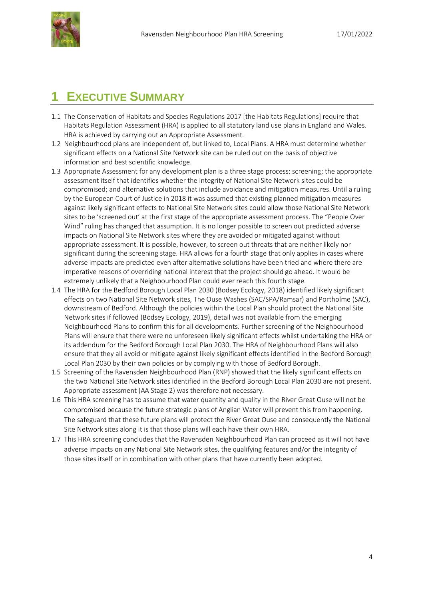

## <span id="page-3-0"></span>**1 EXECUTIVE SUMMARY**

- 1.1 The Conservation of Habitats and Species Regulations 2017 [the Habitats Regulations] require that Habitats Regulation Assessment (HRA) is applied to all statutory land use plans in England and Wales. HRA is achieved by carrying out an Appropriate Assessment.
- 1.2 Neighbourhood plans are independent of, but linked to, Local Plans. A HRA must determine whether significant effects on a National Site Network site can be ruled out on the basis of objective information and best scientific knowledge.
- 1.3 Appropriate Assessment for any development plan is a three stage process: screening; the appropriate assessment itself that identifies whether the integrity of National Site Network sites could be compromised; and alternative solutions that include avoidance and mitigation measures. Until a ruling by the European Court of Justice in 2018 it was assumed that existing planned mitigation measures against likely significant effects to National Site Network sites could allow those National Site Network sites to be 'screened out' at the first stage of the appropriate assessment process. The "People Over Wind" ruling has changed that assumption. It is no longer possible to screen out predicted adverse impacts on National Site Network sites where they are avoided or mitigated against without appropriate assessment. It is possible, however, to screen out threats that are neither likely nor significant during the screening stage. HRA allows for a fourth stage that only applies in cases where adverse impacts are predicted even after alternative solutions have been tried and where there are imperative reasons of overriding national interest that the project should go ahead. It would be extremely unlikely that a Neighbourhood Plan could ever reach this fourth stage.
- 1.4 The HRA for the Bedford Borough Local Plan 2030 (Bodsey Ecology, 2018) identified likely significant effects on two National Site Network sites, The Ouse Washes (SAC/SPA/Ramsar) and Portholme (SAC), downstream of Bedford. Although the policies within the Local Plan should protect the National Site Network sites if followed (Bodsey Ecology, 2019), detail was not available from the emerging Neighbourhood Plans to confirm this for all developments. Further screening of the Neighbourhood Plans will ensure that there were no unforeseen likely significant effects whilst undertaking the HRA or its addendum for the Bedford Borough Local Plan 2030. The HRA of Neighbourhood Plans will also ensure that they all avoid or mitigate against likely significant effects identified in the Bedford Borough Local Plan 2030 by their own policies or by complying with those of Bedford Borough.
- 1.5 Screening of the Ravensden Neighbourhood Plan (RNP) showed that the likely significant effects on the two National Site Network sites identified in the Bedford Borough Local Plan 2030 are not present. Appropriate assessment (AA Stage 2) was therefore not necessary.
- 1.6 This HRA screening has to assume that water quantity and quality in the River Great Ouse will not be compromised because the future strategic plans of Anglian Water will prevent this from happening. The safeguard that these future plans will protect the River Great Ouse and consequently the National Site Network sites along it is that those plans will each have their own HRA.
- 1.7 This HRA screening concludes that the Ravensden Neighbourhood Plan can proceed as it will not have adverse impacts on any National Site Network sites, the qualifying features and/or the integrity of those sites itself or in combination with other plans that have currently been adopted.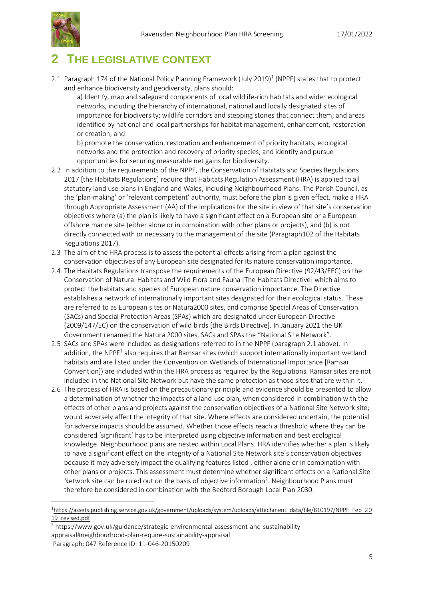

### <span id="page-4-0"></span>**2 THE LEGISLATIVE CONTEXT**

2.1 Paragraph 174 of the National Policy Planning Framework (July 2019) [1](#page-4-1) (NPPF) states that to protect and enhance biodiversity and geodiversity, plans should:

a) Identify, map and safeguard components of local wildlife-rich habitats and wider ecological networks, including the hierarchy of international, national and locally designated sites of importance for biodiversity; wildlife corridors and stepping stones that connect them; and areas identified by national and local partnerships for habitat management, enhancement, restoration or creation; and

b) promote the conservation, restoration and enhancement of priority habitats, ecological networks and the protection and recovery of priority species; and identify and pursue opportunities for securing measurable net gains for biodiversity.

- 2.2 In addition to the requirements of the NPPF, the Conservation of Habitats and Species Regulations 2017 [the Habitats Regulations] require that Habitats Regulation Assessment (HRA) is applied to all statutory land use plans in England and Wales, including Neighbourhood Plans. The Parish Council, as the 'plan‐making' or 'relevant competent' authority, must before the plan is given effect, make a HRA through Appropriate Assessment (AA) of the implications for the site in view of that site's conservation objectives where (a) the plan is likely to have a significant effect on a European site or a European offshore marine site (either alone or in combination with other plans or projects), and (b) is not directly connected with or necessary to the management of the site (Paragraph102 of the Habitats Regulations 2017).
- 2.3 The aim of the HRA process is to assess the potential effects arising from a plan against the conservation objectives of any European site designated for its nature conservation importance.
- 2.4 The Habitats Regulations transpose the requirements of the European Directive (92/43/EEC) on the Conservation of Natural Habitats and Wild Flora and Fauna [The Habitats Directive] which aims to protect the habitats and species of European nature conservation importance. The Directive establishes a network of internationally important sites designated for their ecological status. These are referred to as European sites or Natura2000 sites, and comprise Special Areas of Conservation (SACs) and Special Protection Areas (SPAs) which are designated under European Directive (2009/147/EC) on the conservation of wild birds [the Birds Directive]. In January 2021 the UK Government renamed the Natura 2000 sites, SACs and SPAs the "National Site Network".
- <span id="page-4-1"></span>2.5 SACs and SPAs were included as designations referred to in the NPPF (paragraph 2.1 above). In addition, the NPPF<sup>1</sup> also requires that Ramsar sites (which support internationally important wetland habitats and are listed under the Convention on Wetlands of International Importance [Ramsar Convention]) are included within the HRA process as required by the Regulations. Ramsar sites are not included in the National Site Network but have the same protection as those sites that are within it.
- 2.6 The process of HRA is based on the precautionary principle and evidence should be presented to allow a determination of whether the impacts of a land‐use plan, when considered in combination with the effects of other plans and projects against the conservation objectives of a National Site Network site; would adversely affect the integrity of that site. Where effects are considered uncertain, the potential for adverse impacts should be assumed. Whether those effects reach a threshold where they can be considered 'significant' has to be interpreted using objective information and best ecological knowledge. Neighbourhood plans are nested within Local Plans. HRA identifies whether a plan is likely to have a significant effect on the integrity of a National Site Network site's conservation objectives because it may adversely impact the qualifying features listed , either alone or in combination with other plans or projects. This assessment must determine whether significant effects on a National Site Network site can be ruled out on the basis of objective information<sup>2</sup>. Neighbourhood Plans must therefore be considered in combination with the Bedford Borough Local Plan 2030.

<sup>&</sup>lt;sup>1</sup>[https://assets.publishing.service.gov.uk/government/uploads/system/uploads/attachment\\_data/file/810197/NPPF\\_Feb\\_20](https://assets.publishing.service.gov.uk/government/uploads/system/uploads/attachment_data/file/810197/NPPF_Feb_2019_revised.pdf) [19\\_revised.pdf](https://assets.publishing.service.gov.uk/government/uploads/system/uploads/attachment_data/file/810197/NPPF_Feb_2019_revised.pdf)

<sup>&</sup>lt;sup>2</sup> https://www.gov.uk/guidance/strategic-environmental-assessment-and-sustainability-

appraisal#neighbourhood-plan-require-sustainability-appraisal

Paragraph: 047 Reference ID: 11-046-20150209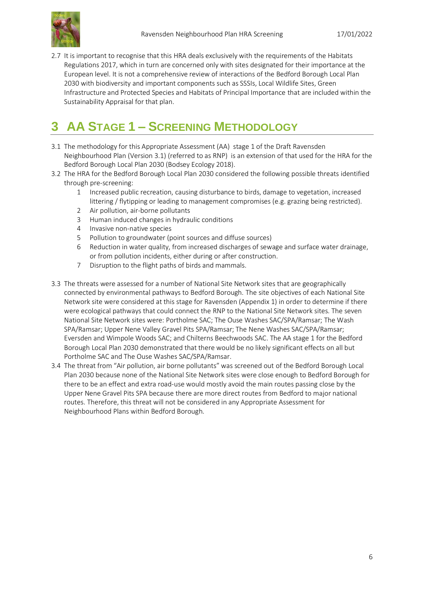2.7 It is important to recognise that this HRA deals exclusively with the requirements of the Habitats Regulations 2017, which in turn are concerned only with sites designated for their importance at the European level. It is not a comprehensive review of interactions of the Bedford Borough Local Plan 2030 with biodiversity and important components such as SSSIs, Local Wildlife Sites, Green Infrastructure and Protected Species and Habitats of Principal Importance that are included within the Sustainability Appraisal for that plan.

## <span id="page-5-0"></span>**3 AA STAGE 1 – SCREENING METHODOLOGY**

- 3.1 The methodology for this Appropriate Assessment (AA) stage 1 of the Draft Ravensden Neighbourhood Plan (Version 3.1) (referred to as RNP) is an extension of that used for the HRA for the Bedford Borough Local Plan 2030 (Bodsey Ecology 2018).
- 3.2 The HRA for the Bedford Borough Local Plan 2030 considered the following possible threats identified through pre-screening:
	- 1 Increased public recreation, causing disturbance to birds, damage to vegetation, increased littering / flytipping or leading to management compromises (e.g. grazing being restricted).
	- 2 Air pollution, air-borne pollutants
	- 3 Human induced changes in hydraulic conditions
	- 4 Invasive non-native species
	- 5 Pollution to groundwater (point sources and diffuse sources)
	- 6 Reduction in water quality, from increased discharges of sewage and surface water drainage, or from pollution incidents, either during or after construction.
	- 7 Disruption to the flight paths of birds and mammals.
- 3.3 The threats were assessed for a number of National Site Network sites that are geographically connected by environmental pathways to Bedford Borough. The site objectives of each National Site Network site were considered at this stage for Ravensden (Appendix 1) in order to determine if there were ecological pathways that could connect the RNP to the National Site Network sites. The seven National Site Network sites were: Portholme SAC; The Ouse Washes SAC/SPA/Ramsar; The Wash SPA/Ramsar; Upper Nene Valley Gravel Pits SPA/Ramsar; The Nene Washes SAC/SPA/Ramsar; Eversden and Wimpole Woods SAC; and Chilterns Beechwoods SAC. The AA stage 1 for the Bedford Borough Local Plan 2030 demonstrated that there would be no likely significant effects on all but Portholme SAC and The Ouse Washes SAC/SPA/Ramsar.
- 3.4 The threat from "Air pollution, air borne pollutants" was screened out of the Bedford Borough Local Plan 2030 because none of the National Site Network sites were close enough to Bedford Borough for there to be an effect and extra road-use would mostly avoid the main routes passing close by the Upper Nene Gravel Pits SPA because there are more direct routes from Bedford to major national routes. Therefore, this threat will not be considered in any Appropriate Assessment for Neighbourhood Plans within Bedford Borough.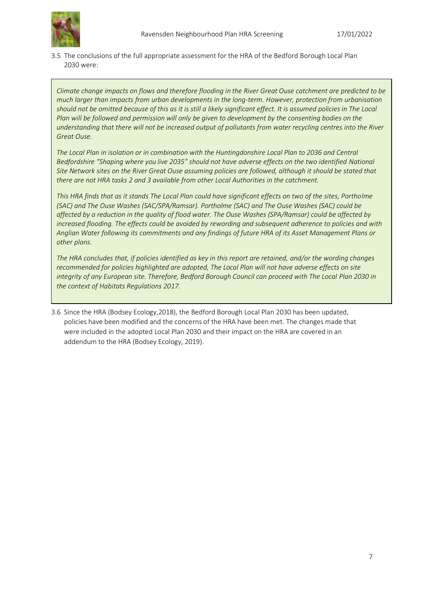

3.5 The conclusions of the full appropriate assessment for the HRA of the Bedford Borough Local Plan 2030 were:

*Climate change impacts on flows and therefore flooding in the River Great Ouse catchment are predicted to be much larger than impacts from urban developments in the long-term. However, protection from urbanisation should not be omitted because of this as it is still a likely significant effect. It is assumed policies in The Local Plan will be followed and permission will only be given to development by the consenting bodies on the understanding that there will not be increased output of pollutants from water recycling centres into the River Great Ouse.*

*The Local Plan in isolation or in combination with the Huntingdonshire Local Plan to 2036 and Central Bedfordshire "Shaping where you live 2035" should not have adverse effects on the two identified National Site Network sites on the River Great Ouse assuming policies are followed, although it should be stated that there are not HRA tasks 2 and 3 available from other Local Authorities in the catchment.*

*This HRA finds that as it stands The Local Plan could have significant effects on two of the sites, Portholme (SAC) and The Ouse Washes (SAC/SPA/Ramsar). Portholme (SAC) and The Ouse Washes (SAC) could be affected by a reduction in the quality of flood water. The Ouse Washes (SPA/Ramsar) could be affected by increased flooding. The effects could be avoided by rewording and subsequent adherence to policies and with Anglian Water following its commitments and any findings of future HRA of its Asset Management Plans or other plans.*

*The HRA concludes that, if policies identified as key in this report are retained, and/or the wording changes recommended for policies highlighted are adopted, The Local Plan will not have adverse effects on site integrity of any European site. Therefore, Bedford Borough Council can proceed with The Local Plan 2030 in the context of Habitats Regulations 2017.*

3.6 Since the HRA (Bodsey Ecology,2018), the Bedford Borough Local Plan 2030 has been updated, policies have been modified and the concerns of the HRA have been met. The changes made that were included in the adopted Local Plan 2030 and their impact on the HRA are covered in an addendum to the HRA (Bodsey Ecology, 2019).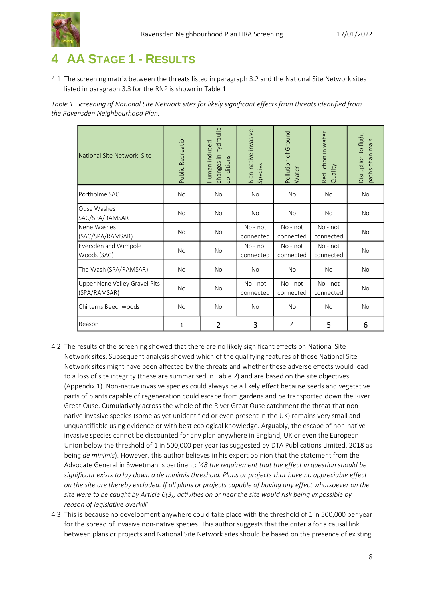

## <span id="page-7-0"></span>**4 AA STAGE 1 - RESULTS**

4.1 The screening matrix between the threats listed in paragraph 3.2 and the National Site Network sites listed in paragraph 3.3 for the RNP is shown in Table 1.

*Table 1. Screening of National Site Network sites for likely significant effects from threats identified from the Ravensden Neighbourhood Plan.*

| National Site Network Site                    | <b>Public Recreation</b> | changes in hydraulic<br>Human induced<br>conditions | Non-native invasive<br>Species | Pollution of Ground<br>Water | Reduction in water<br>Quality | Disruption to flight<br>paths of animals |
|-----------------------------------------------|--------------------------|-----------------------------------------------------|--------------------------------|------------------------------|-------------------------------|------------------------------------------|
| Portholme SAC                                 | No                       | <b>No</b>                                           | No                             | <b>No</b>                    | <b>No</b>                     | <b>No</b>                                |
| Ouse Washes<br>SAC/SPA/RAMSAR                 | <b>No</b>                | <b>No</b>                                           | No                             | <b>No</b>                    | <b>No</b>                     | <b>No</b>                                |
| Nene Washes<br>(SAC/SPA/RAMSAR)               | <b>No</b>                | <b>No</b>                                           | No - not<br>connected          | No - not<br>connected        | No - not<br>connected         | <b>No</b>                                |
| Eversden and Wimpole<br>Woods (SAC)           | <b>No</b>                | No                                                  | No - not<br>connected          | No - not<br>connected        | No - not<br>connected         | <b>No</b>                                |
| The Wash (SPA/RAMSAR)                         | <b>No</b>                | <b>No</b>                                           | <b>No</b>                      | <b>No</b>                    | <b>No</b>                     | <b>No</b>                                |
| Upper Nene Valley Gravel Pits<br>(SPA/RAMSAR) | No                       | <b>No</b>                                           | No - not<br>connected          | No - not<br>connected        | No - not<br>connected         | <b>No</b>                                |
| Chilterns Beechwoods                          | <b>No</b>                | <b>No</b>                                           | <b>No</b>                      | <b>No</b>                    | <b>No</b>                     | <b>No</b>                                |
| Reason                                        | $\mathbf{1}$             | $\overline{2}$                                      | 3                              | 4                            | 5                             | 6                                        |

- 4.2 The results of the screening showed that there are no likely significant effects on National Site Network sites. Subsequent analysis showed which of the qualifying features of those National Site Network sites might have been affected by the threats and whether these adverse effects would lead to a loss of site integrity (these are summarised in Table 2) and are based on the site objectives (Appendix 1). Non-native invasive species could always be a likely effect because seeds and vegetative parts of plants capable of regeneration could escape from gardens and be transported down the River Great Ouse. Cumulatively across the whole of the River Great Ouse catchment the threat that nonnative invasive species (some as yet unidentified or even present in the UK) remains very small and unquantifiable using evidence or with best ecological knowledge. Arguably, the escape of non-native invasive species cannot be discounted for any plan anywhere in England, UK or even the European Union below the threshold of 1 in 500,000 per year (as suggested by DTA Publications Limited, 2018 as being *de minimis*). However, this author believes in his expert opinion that the statement from the Advocate General in Sweetman is pertinent: *'48 the requirement that the effect in question should be significant exists to lay down a de minimis threshold. Plans or projects that have no appreciable effect on the site are thereby excluded. If all plans or projects capable of having any effect whatsoever on the site were to be caught by Article 6(3), activities on or near the site would risk being impossible by reason of legislative overkill'.*
- 4.3 This is because no development anywhere could take place with the threshold of 1 in 500,000 per year for the spread of invasive non-native species. This author suggests that the criteria for a causal link between plans or projects and National Site Network sites should be based on the presence of existing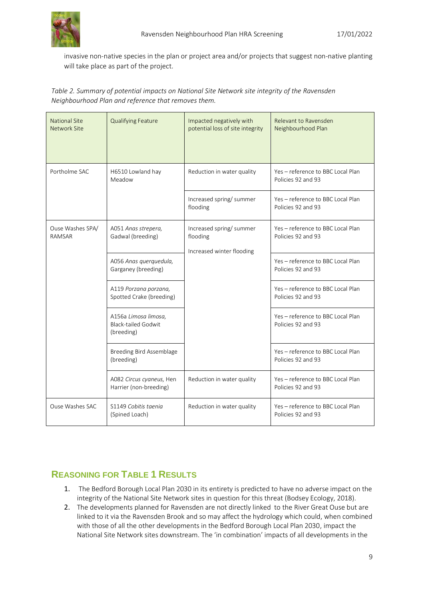

invasive non-native species in the plan or project area and/or projects that suggest non-native planting will take place as part of the project.

*Table 2. Summary of potential impacts on National Site Network site integrity of the Ravensden Neighbourhood Plan and reference that removes them.*

| <b>National Site</b><br><b>Network Site</b> | <b>Qualifying Feature</b>                                        | Impacted negatively with<br>potential loss of site integrity      | Relevant to Ravensden<br>Neighbourhood Plan             |  |  |
|---------------------------------------------|------------------------------------------------------------------|-------------------------------------------------------------------|---------------------------------------------------------|--|--|
| Portholme SAC                               | H6510 Lowland hay<br>Meadow                                      | Reduction in water quality                                        | Yes - reference to BBC Local Plan<br>Policies 92 and 93 |  |  |
|                                             |                                                                  | Increased spring/ summer<br>flooding                              | Yes - reference to BBC Local Plan<br>Policies 92 and 93 |  |  |
| Ouse Washes SPA/<br>RAMSAR                  | A051 Anas strepera,<br>Gadwal (breeding)                         | Increased spring/ summer<br>flooding<br>Increased winter flooding | Yes - reference to BBC Local Plan<br>Policies 92 and 93 |  |  |
|                                             | A056 Anas querquedula,<br>Garganey (breeding)                    |                                                                   | Yes - reference to BBC Local Plan<br>Policies 92 and 93 |  |  |
|                                             | A119 Porzana porzana,<br>Spotted Crake (breeding)                |                                                                   | Yes - reference to BBC Local Plan<br>Policies 92 and 93 |  |  |
|                                             | A156a Limosa limosa,<br><b>Black-tailed Godwit</b><br>(breeding) |                                                                   | Yes - reference to BBC Local Plan<br>Policies 92 and 93 |  |  |
|                                             | Breeding Bird Assemblage<br>(breeding)                           |                                                                   | Yes - reference to BBC Local Plan<br>Policies 92 and 93 |  |  |
|                                             | A082 Circus cyaneus, Hen<br>Harrier (non-breeding)               | Reduction in water quality                                        | Yes - reference to BBC Local Plan<br>Policies 92 and 93 |  |  |
| Ouse Washes SAC                             | S1149 Cobitis taenia<br>(Spined Loach)                           | Reduction in water quality                                        | Yes - reference to BBC Local Plan<br>Policies 92 and 93 |  |  |

### <span id="page-8-0"></span>**REASONING FOR TABLE 1 RESULTS**

- 1. The Bedford Borough Local Plan 2030 in its entirety is predicted to have no adverse impact on the integrity of the National Site Network sites in question for this threat (Bodsey Ecology, 2018).
- 2. The developments planned for Ravensden are not directly linked to the River Great Ouse but are linked to it via the Ravensden Brook and so may affect the hydrology which could, when combined with those of all the other developments in the Bedford Borough Local Plan 2030, impact the National Site Network sites downstream. The 'in combination' impacts of all developments in the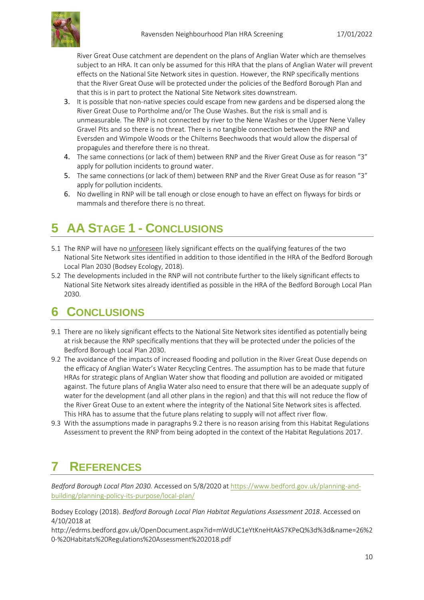

River Great Ouse catchment are dependent on the plans of Anglian Water which are themselves subject to an HRA. It can only be assumed for this HRA that the plans of Anglian Water will prevent effects on the National Site Network sites in question. However, the RNP specifically mentions that the River Great Ouse will be protected under the policies of the Bedford Borough Plan and that this is in part to protect the National Site Network sites downstream.

- 3. It is possible that non-native species could escape from new gardens and be dispersed along the River Great Ouse to Portholme and/or The Ouse Washes. But the risk is small and is unmeasurable. The RNP is not connected by river to the Nene Washes or the Upper Nene Valley Gravel Pits and so there is no threat. There is no tangible connection between the RNP and Eversden and Wimpole Woods or the Chilterns Beechwoods that would allow the dispersal of propagules and therefore there is no threat.
- 4. The same connections (or lack of them) between RNP and the River Great Ouse as for reason "3" apply for pollution incidents to ground water.
- 5. The same connections (or lack of them) between RNP and the River Great Ouse as for reason "3" apply for pollution incidents.
- 6. No dwelling in RNP will be tall enough or close enough to have an effect on flyways for birds or mammals and therefore there is no threat.

## <span id="page-9-0"></span>**5 AA STAGE 1 - CONCLUSIONS**

- 5.1 The RNP will have no unforeseen likely significant effects on the qualifying features of the two National Site Network sites identified in addition to those identified in the HRA of the Bedford Borough Local Plan 2030 (Bodsey Ecology, 2018).
- 5.2 The developments included in the RNP will not contribute further to the likely significant effects to National Site Network sites already identified as possible in the HRA of the Bedford Borough Local Plan 2030.

## <span id="page-9-1"></span>**6 CONCLUSIONS**

- 9.1 There are no likely significant effects to the National Site Network sites identified as potentially being at risk because the RNP specifically mentions that they will be protected under the policies of the Bedford Borough Local Plan 2030.
- 9.2 The avoidance of the impacts of increased flooding and pollution in the River Great Ouse depends on the efficacy of Anglian Water's Water Recycling Centres. The assumption has to be made that future HRAs for strategic plans of Anglian Water show that flooding and pollution are avoided or mitigated against. The future plans of Anglia Water also need to ensure that there will be an adequate supply of water for the development (and all other plans in the region) and that this will not reduce the flow of the River Great Ouse to an extent where the integrity of the National Site Network sites is affected. This HRA has to assume that the future plans relating to supply will not affect river flow.
- 9.3 With the assumptions made in paragraphs 9.2 there is no reason arising from this Habitat Regulations Assessment to prevent the RNP from being adopted in the context of the Habitat Regulations 2017.

## <span id="page-9-2"></span>**7 REFERENCES**

*Bedford Borough Local Plan 2030.* Accessed on 5/8/2020 at [https://www.bedford.gov.uk/planning-and](https://www.bedford.gov.uk/planning-and-building/planning-policy-its-purpose/local-plan/)[building/planning-policy-its-purpose/local-plan/](https://www.bedford.gov.uk/planning-and-building/planning-policy-its-purpose/local-plan/)

Bodsey Ecology (2018). *Bedford Borough Local Plan Habitat Regulations Assessment 2018*. Accessed on 4/10/2018 at

http://edrms.bedford.gov.uk/OpenDocument.aspx?id=mWdUC1eYtKneHtAkS7KPeQ%3d%3d&name=26%2 0-%20Habitats%20Regulations%20Assessment%202018.pdf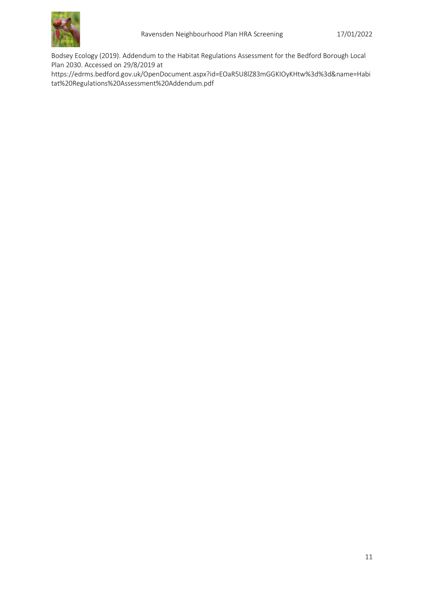

Bodsey Ecology (2019). Addendum to the Habitat Regulations Assessment for the Bedford Borough Local Plan 2030. Accessed on 29/8/2019 at

https://edrms.bedford.gov.uk/OpenDocument.aspx?id=EOaR5U8lZ83mGGKIOyKHtw%3d%3d&name=Habi tat%20Regulations%20Assessment%20Addendum.pdf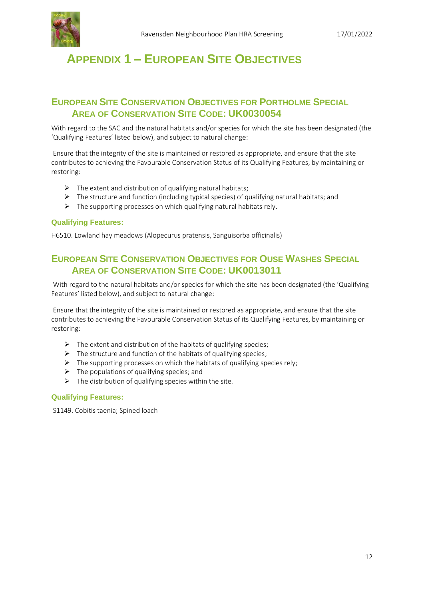

## <span id="page-11-0"></span>**APPENDIX 1 – EUROPEAN SITE OBJECTIVES**

### <span id="page-11-1"></span>**EUROPEAN SITE CONSERVATION OBJECTIVES FOR PORTHOLME SPECIAL AREA OF CONSERVATION SITE CODE: UK0030054**

With regard to the SAC and the natural habitats and/or species for which the site has been designated (the 'Qualifying Features' listed below), and subject to natural change:

Ensure that the integrity of the site is maintained or restored as appropriate, and ensure that the site contributes to achieving the Favourable Conservation Status of its Qualifying Features, by maintaining or restoring:

- $\triangleright$  The extent and distribution of qualifying natural habitats;
- $\triangleright$  The structure and function (including typical species) of qualifying natural habitats; and
- $\triangleright$  The supporting processes on which qualifying natural habitats rely.

#### **Qualifying Features:**

H6510. Lowland hay meadows (Alopecurus pratensis, Sanguisorba officinalis)

### <span id="page-11-2"></span>**EUROPEAN SITE CONSERVATION OBJECTIVES FOR OUSE WASHES SPECIAL AREA OF CONSERVATION SITE CODE: UK0013011**

With regard to the natural habitats and/or species for which the site has been designated (the 'Qualifying Features' listed below), and subject to natural change:

Ensure that the integrity of the site is maintained or restored as appropriate, and ensure that the site contributes to achieving the Favourable Conservation Status of its Qualifying Features, by maintaining or restoring:

- $\triangleright$  The extent and distribution of the habitats of qualifying species;
- $\triangleright$  The structure and function of the habitats of qualifying species;
- $\triangleright$  The supporting processes on which the habitats of qualifying species rely;
- $\triangleright$  The populations of qualifying species; and
- $\triangleright$  The distribution of qualifying species within the site.

#### **Qualifying Features:**

S1149. Cobitis taenia; Spined loach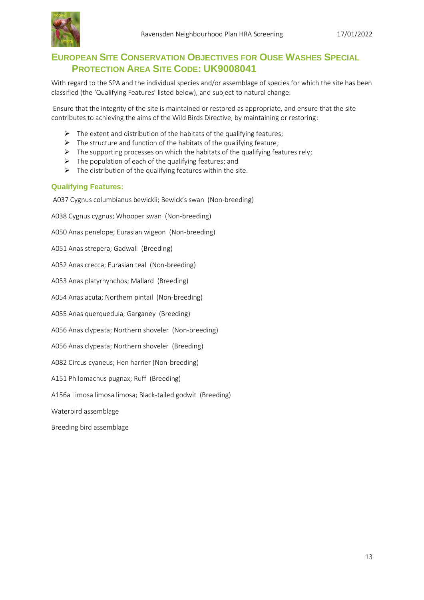

### <span id="page-12-0"></span>**EUROPEAN SITE CONSERVATION OBJECTIVES FOR OUSE WASHES SPECIAL PROTECTION AREA SITE CODE: UK9008041**

With regard to the SPA and the individual species and/or assemblage of species for which the site has been classified (the 'Qualifying Features' listed below), and subject to natural change:

Ensure that the integrity of the site is maintained or restored as appropriate, and ensure that the site contributes to achieving the aims of the Wild Birds Directive, by maintaining or restoring:

- $\triangleright$  The extent and distribution of the habitats of the qualifying features;
- $\triangleright$  The structure and function of the habitats of the qualifying feature;
- $\triangleright$  The supporting processes on which the habitats of the qualifying features rely;
- $\triangleright$  The population of each of the qualifying features; and
- $\triangleright$  The distribution of the qualifying features within the site.

#### **Qualifying Features:**

A037 Cygnus columbianus bewickii; Bewick's swan (Non-breeding)

A038 Cygnus cygnus; Whooper swan (Non-breeding)

A050 Anas penelope; Eurasian wigeon (Non-breeding)

A051 Anas strepera; Gadwall (Breeding)

A052 Anas crecca; Eurasian teal (Non-breeding)

A053 Anas platyrhynchos; Mallard (Breeding)

A054 Anas acuta; Northern pintail (Non-breeding)

A055 Anas querquedula; Garganey (Breeding)

A056 Anas clypeata; Northern shoveler (Non-breeding)

A056 Anas clypeata; Northern shoveler (Breeding)

A082 Circus cyaneus; Hen harrier (Non-breeding)

A151 Philomachus pugnax; Ruff (Breeding)

A156a Limosa limosa limosa; Black-tailed godwit (Breeding)

Waterbird assemblage

Breeding bird assemblage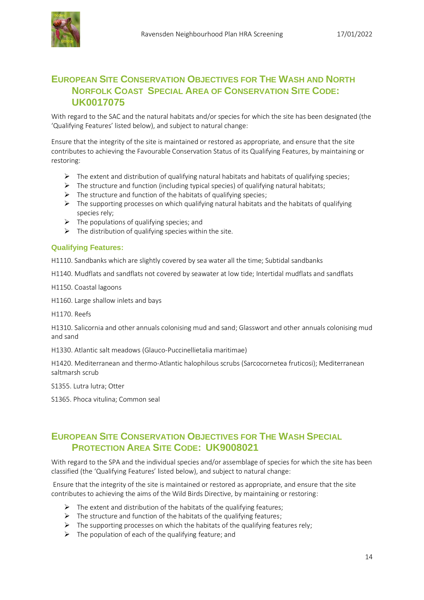

### <span id="page-13-0"></span>**EUROPEAN SITE CONSERVATION OBJECTIVES FOR THE WASH AND NORTH NORFOLK COAST SPECIAL AREA OF CONSERVATION SITE CODE: UK0017075**

With regard to the SAC and the natural habitats and/or species for which the site has been designated (the 'Qualifying Features' listed below), and subject to natural change:

Ensure that the integrity of the site is maintained or restored as appropriate, and ensure that the site contributes to achieving the Favourable Conservation Status of its Qualifying Features, by maintaining or restoring:

- ➢ The extent and distribution of qualifying natural habitats and habitats of qualifying species;
- $\triangleright$  The structure and function (including typical species) of qualifying natural habitats;
- $\triangleright$  The structure and function of the habitats of qualifying species;
- $\triangleright$  The supporting processes on which qualifying natural habitats and the habitats of qualifying species rely;
- $\triangleright$  The populations of qualifying species; and
- $\triangleright$  The distribution of qualifying species within the site.

#### **Qualifying Features:**

H1110. Sandbanks which are slightly covered by sea water all the time; Subtidal sandbanks

H1140. Mudflats and sandflats not covered by seawater at low tide; Intertidal mudflats and sandflats

H1150. Coastal lagoons

H1160. Large shallow inlets and bays

H1170. Reefs

H1310. Salicornia and other annuals colonising mud and sand; Glasswort and other annuals colonising mud and sand

H1330. Atlantic salt meadows (Glauco-Puccinellietalia maritimae)

H1420. Mediterranean and thermo-Atlantic halophilous scrubs (Sarcocornetea fruticosi); Mediterranean saltmarsh scrub

S1355. Lutra lutra; Otter

S1365. Phoca vitulina; Common seal

### <span id="page-13-1"></span>**EUROPEAN SITE CONSERVATION OBJECTIVES FOR THE WASH SPECIAL PROTECTION AREA SITE CODE: UK9008021**

With regard to the SPA and the individual species and/or assemblage of species for which the site has been classified (the 'Qualifying Features' listed below), and subject to natural change:

Ensure that the integrity of the site is maintained or restored as appropriate, and ensure that the site contributes to achieving the aims of the Wild Birds Directive, by maintaining or restoring:

- $\triangleright$  The extent and distribution of the habitats of the qualifying features;
- $\triangleright$  The structure and function of the habitats of the qualifying features;
- $\triangleright$  The supporting processes on which the habitats of the qualifying features rely;
- $\triangleright$  The population of each of the qualifying feature; and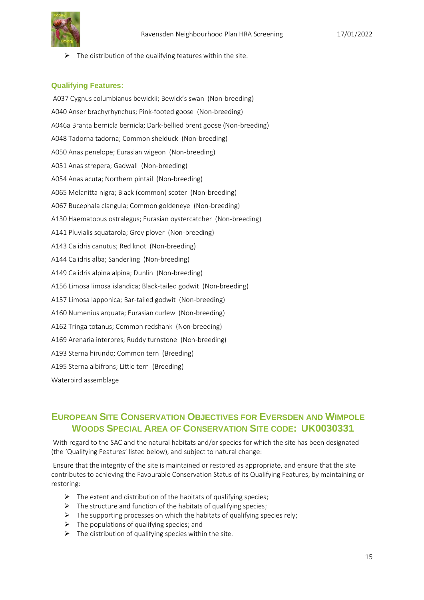

 $\triangleright$  The distribution of the qualifying features within the site.

#### **Qualifying Features:**

A037 Cygnus columbianus bewickii; Bewick's swan (Non-breeding) A040 Anser brachyrhynchus; Pink-footed goose (Non-breeding) A046a Branta bernicla bernicla; Dark-bellied brent goose (Non-breeding) A048 Tadorna tadorna; Common shelduck (Non-breeding) A050 Anas penelope; Eurasian wigeon (Non-breeding) A051 Anas strepera; Gadwall (Non-breeding) A054 Anas acuta; Northern pintail (Non-breeding) A065 Melanitta nigra; Black (common) scoter (Non-breeding) A067 Bucephala clangula; Common goldeneye (Non-breeding) A130 Haematopus ostralegus; Eurasian oystercatcher (Non-breeding) A141 Pluvialis squatarola; Grey plover (Non-breeding) A143 Calidris canutus; Red knot (Non-breeding) A144 Calidris alba; Sanderling (Non-breeding) A149 Calidris alpina alpina; Dunlin (Non-breeding) A156 Limosa limosa islandica; Black-tailed godwit (Non-breeding) A157 Limosa lapponica; Bar-tailed godwit (Non-breeding) A160 Numenius arquata; Eurasian curlew (Non-breeding) A162 Tringa totanus; Common redshank (Non-breeding) A169 Arenaria interpres; Ruddy turnstone (Non-breeding) A193 Sterna hirundo; Common tern (Breeding) A195 Sterna albifrons; Little tern (Breeding) Waterbird assemblage

### <span id="page-14-0"></span>**EUROPEAN SITE CONSERVATION OBJECTIVES FOR EVERSDEN AND WIMPOLE WOODS SPECIAL AREA OF CONSERVATION SITE CODE: UK0030331**

With regard to the SAC and the natural habitats and/or species for which the site has been designated (the 'Qualifying Features' listed below), and subject to natural change:

Ensure that the integrity of the site is maintained or restored as appropriate, and ensure that the site contributes to achieving the Favourable Conservation Status of its Qualifying Features, by maintaining or restoring:

- $\triangleright$  The extent and distribution of the habitats of qualifying species;
- $\triangleright$  The structure and function of the habitats of qualifying species;
- $\triangleright$  The supporting processes on which the habitats of qualifying species rely;
- $\triangleright$  The populations of qualifying species; and
- $\triangleright$  The distribution of qualifying species within the site.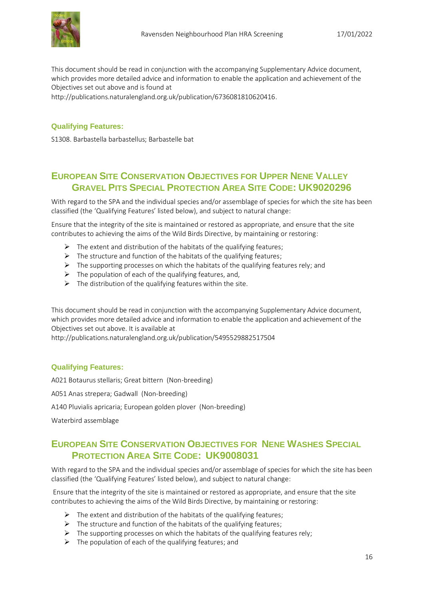

This document should be read in conjunction with the accompanying Supplementary Advice document, which provides more detailed advice and information to enable the application and achievement of the Objectives set out above and is found at

http://publications.naturalengland.org.uk/publication/6736081810620416.

#### **Qualifying Features:**

S1308. Barbastella barbastellus; Barbastelle bat

### <span id="page-15-0"></span>**EUROPEAN SITE CONSERVATION OBJECTIVES FOR UPPER NENE VALLEY GRAVEL PITS SPECIAL PROTECTION AREA SITE CODE: UK9020296**

With regard to the SPA and the individual species and/or assemblage of species for which the site has been classified (the 'Qualifying Features' listed below), and subject to natural change:

Ensure that the integrity of the site is maintained or restored as appropriate, and ensure that the site contributes to achieving the aims of the Wild Birds Directive, by maintaining or restoring:

- $\triangleright$  The extent and distribution of the habitats of the qualifying features;
- $\triangleright$  The structure and function of the habitats of the qualifying features;
- $\triangleright$  The supporting processes on which the habitats of the qualifying features rely; and
- $\triangleright$  The population of each of the qualifying features, and,
- $\triangleright$  The distribution of the qualifying features within the site.

This document should be read in conjunction with the accompanying Supplementary Advice document, which provides more detailed advice and information to enable the application and achievement of the Objectives set out above. It is available at

http://publications.naturalengland.org.uk/publication/5495529882517504

#### **Qualifying Features:**

A021 Botaurus stellaris; Great bittern (Non-breeding)

A051 Anas strepera; Gadwall (Non-breeding)

A140 Pluvialis apricaria; European golden plover (Non-breeding)

<span id="page-15-1"></span>Waterbird assemblage

### **EUROPEAN SITE CONSERVATION OBJECTIVES FOR NENE WASHES SPECIAL PROTECTION AREA SITE CODE: UK9008031**

With regard to the SPA and the individual species and/or assemblage of species for which the site has been classified (the 'Qualifying Features' listed below), and subject to natural change:

Ensure that the integrity of the site is maintained or restored as appropriate, and ensure that the site contributes to achieving the aims of the Wild Birds Directive, by maintaining or restoring:

- $\triangleright$  The extent and distribution of the habitats of the qualifying features;
- $\triangleright$  The structure and function of the habitats of the qualifying features;
- $\triangleright$  The supporting processes on which the habitats of the qualifying features rely;
- $\triangleright$  The population of each of the qualifying features; and